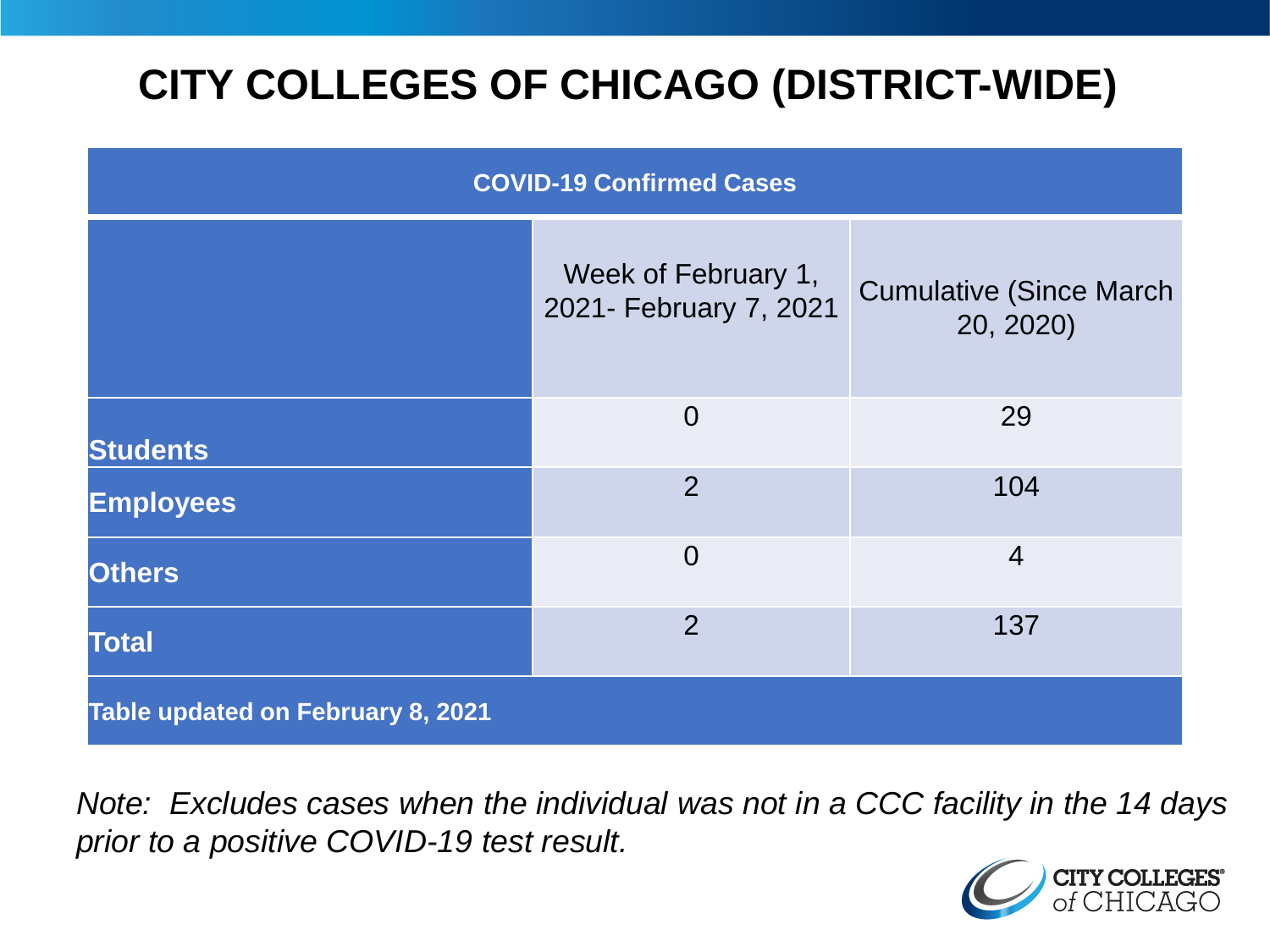# **CITY COLLEGES OF CHICAGO (DISTRICT-WIDE)**

| <b>COVID-19 Confirmed Cases</b>   |                                               |                                              |
|-----------------------------------|-----------------------------------------------|----------------------------------------------|
|                                   | Week of February 1,<br>2021- February 7, 2021 | <b>Cumulative (Since March)</b><br>20, 2020) |
| <b>Students</b>                   | $\overline{0}$                                | 29                                           |
| <b>Employees</b>                  | $\overline{2}$                                | 104                                          |
| <b>Others</b>                     | $\overline{0}$                                | $\overline{4}$                               |
| <b>Total</b>                      | $\overline{2}$                                | 137                                          |
| Table updated on February 8, 2021 |                                               |                                              |

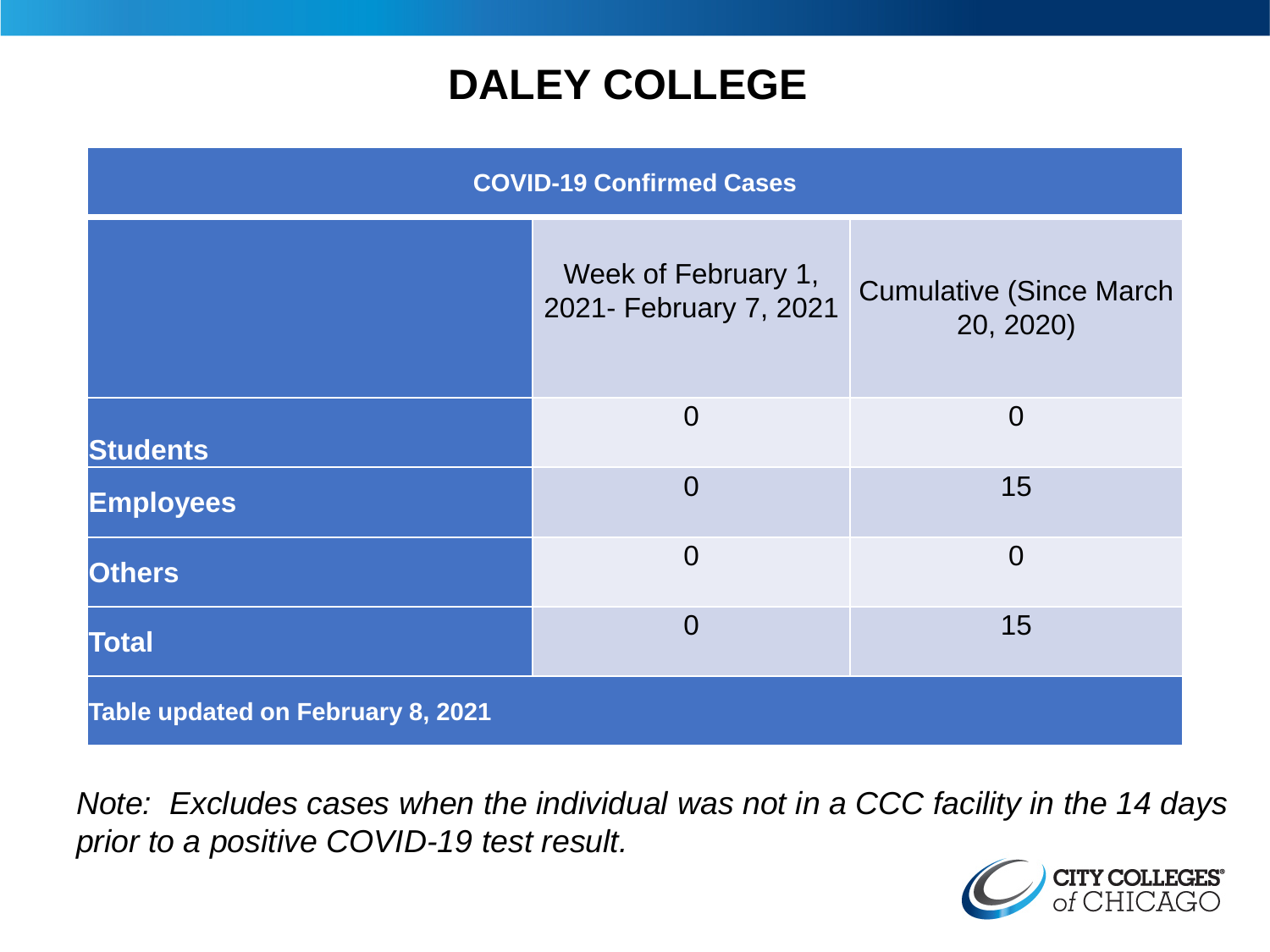## **DALEY COLLEGE**

| <b>COVID-19 Confirmed Cases</b>   |                                               |                                              |
|-----------------------------------|-----------------------------------------------|----------------------------------------------|
|                                   | Week of February 1,<br>2021- February 7, 2021 | <b>Cumulative (Since March)</b><br>20, 2020) |
| <b>Students</b>                   | $\overline{0}$                                | $\overline{0}$                               |
| <b>Employees</b>                  | $\overline{0}$                                | 15                                           |
| <b>Others</b>                     | $\overline{0}$                                | $\overline{0}$                               |
| <b>Total</b>                      | $\overline{0}$                                | 15                                           |
| Table updated on February 8, 2021 |                                               |                                              |

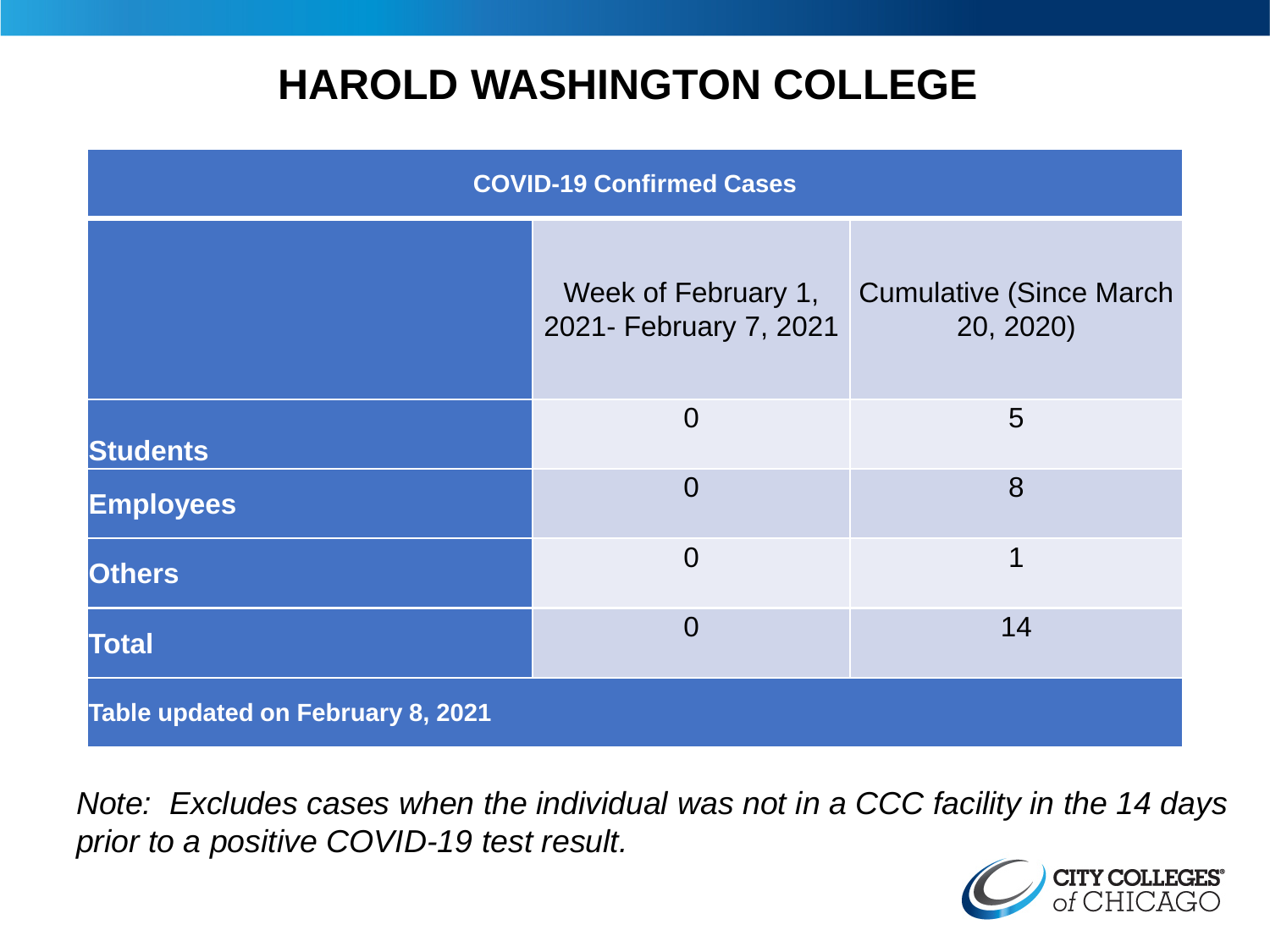## **HAROLD WASHINGTON COLLEGE**

| <b>COVID-19 Confirmed Cases</b>   |                                               |                                              |
|-----------------------------------|-----------------------------------------------|----------------------------------------------|
|                                   | Week of February 1,<br>2021- February 7, 2021 | <b>Cumulative (Since March)</b><br>20, 2020) |
| <b>Students</b>                   | $\Omega$                                      | 5                                            |
| <b>Employees</b>                  | $\Omega$                                      | 8                                            |
| <b>Others</b>                     | $\Omega$                                      | 1                                            |
| <b>Total</b>                      | $\Omega$                                      | 14                                           |
| Table updated on February 8, 2021 |                                               |                                              |

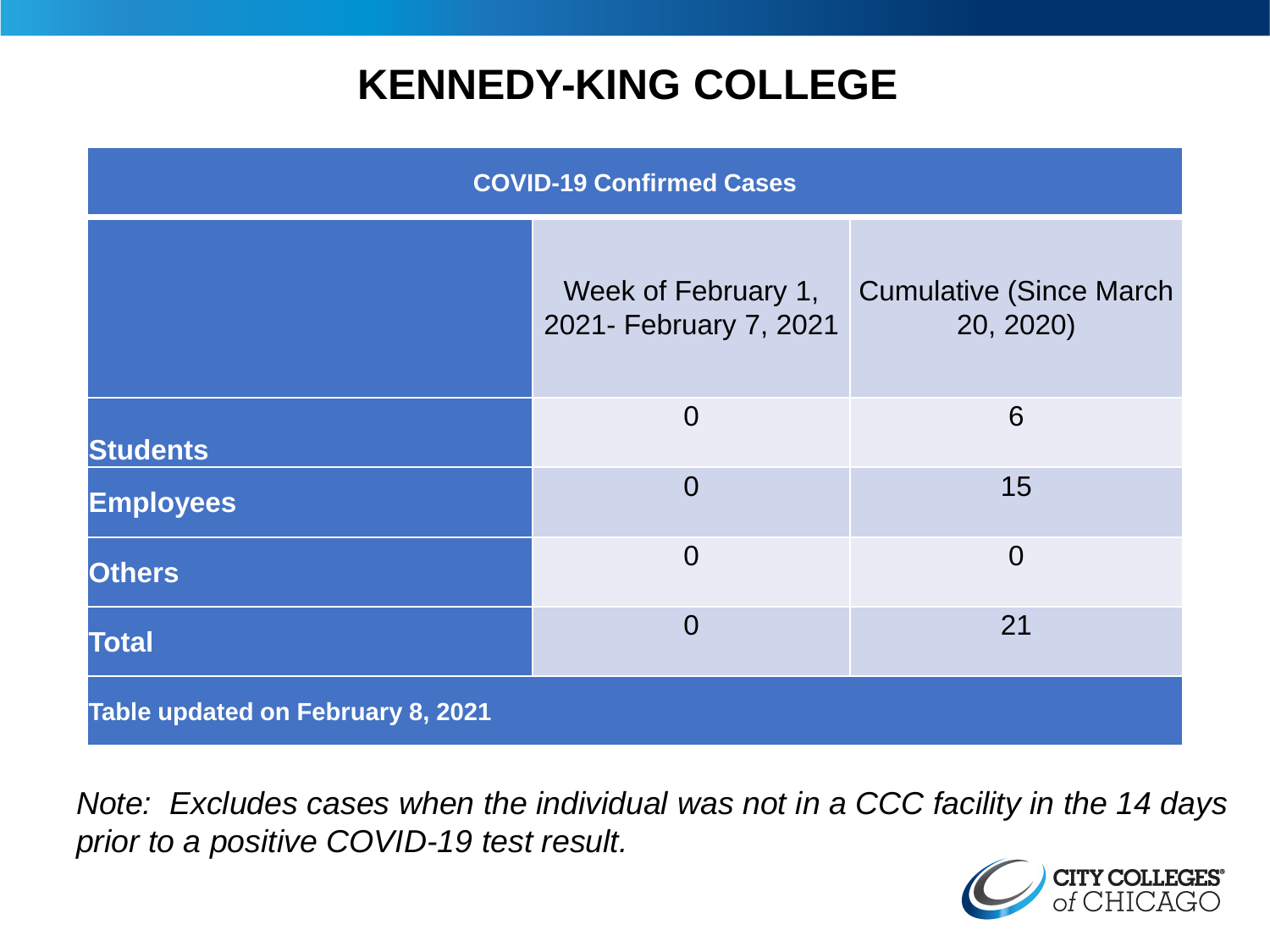## **KENNEDY-KING COLLEGE**

| <b>COVID-19 Confirmed Cases</b>   |                                               |                                              |
|-----------------------------------|-----------------------------------------------|----------------------------------------------|
|                                   | Week of February 1,<br>2021- February 7, 2021 | <b>Cumulative (Since March)</b><br>20, 2020) |
| <b>Students</b>                   | $\overline{0}$                                | 6                                            |
| <b>Employees</b>                  | $\overline{0}$                                | 15                                           |
| <b>Others</b>                     | $\overline{0}$                                | $\overline{0}$                               |
| <b>Total</b>                      | $\overline{0}$                                | 21                                           |
| Table updated on February 8, 2021 |                                               |                                              |

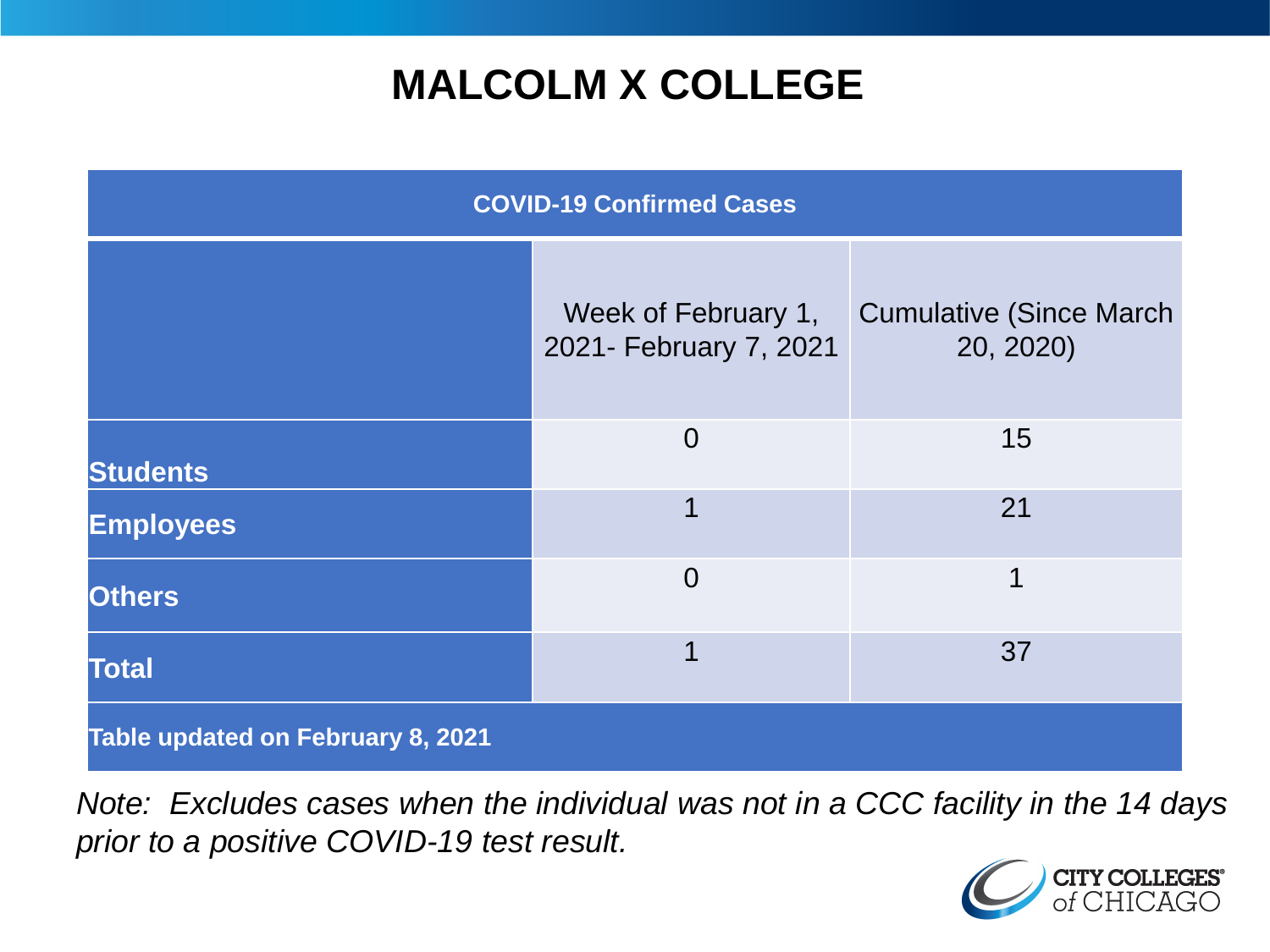# **MALCOLM X COLLEGE**

| <b>COVID-19 Confirmed Cases</b>   |                                               |                                              |
|-----------------------------------|-----------------------------------------------|----------------------------------------------|
|                                   | Week of February 1,<br>2021- February 7, 2021 | <b>Cumulative (Since March)</b><br>20, 2020) |
| <b>Students</b>                   | $\overline{0}$                                | 15                                           |
| <b>Employees</b>                  | 1                                             | 21                                           |
| <b>Others</b>                     | $\overline{0}$                                | 1                                            |
| <b>Total</b>                      | 1                                             | 37                                           |
| Table updated on February 8, 2021 |                                               |                                              |

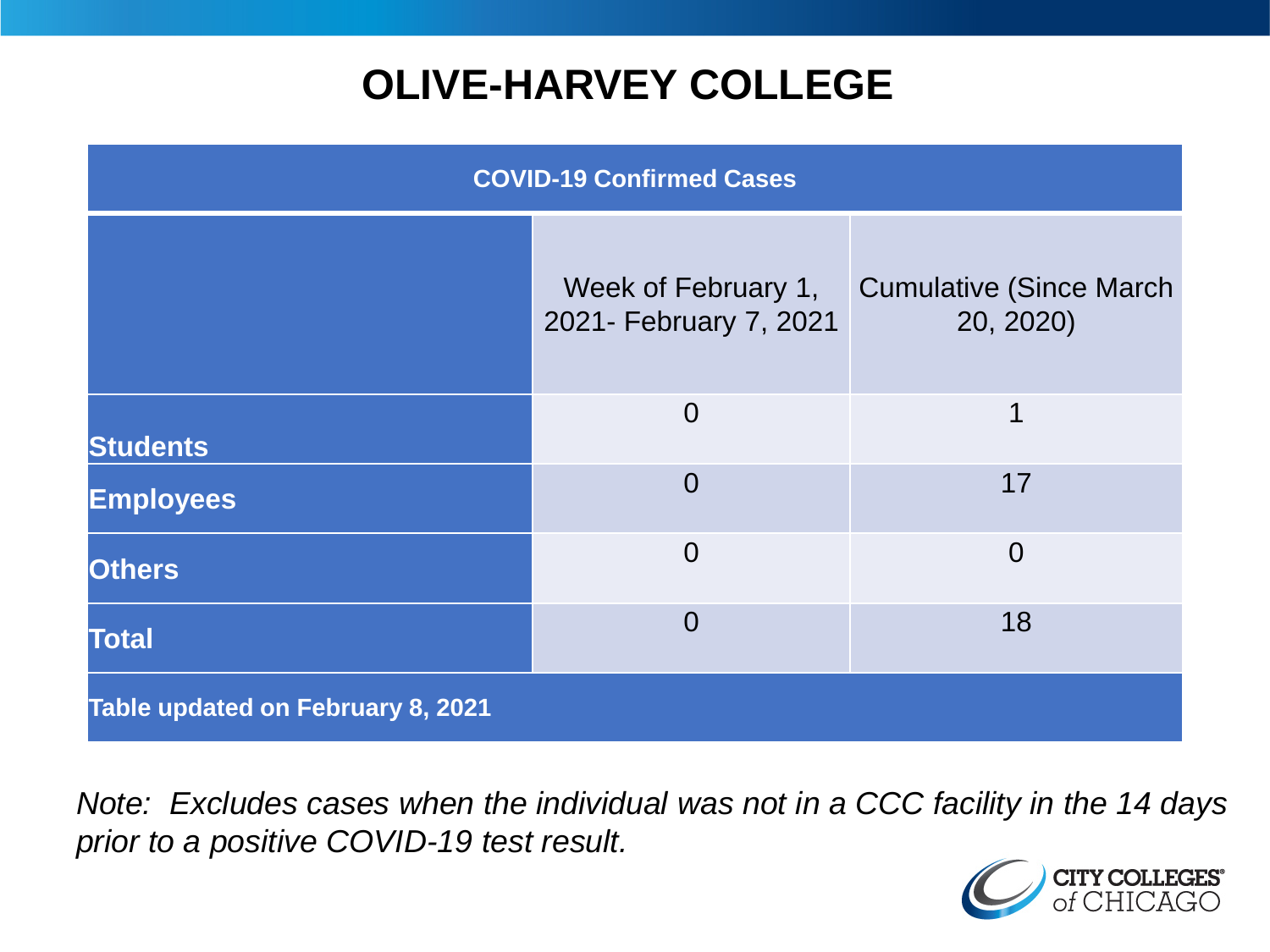# **OLIVE-HARVEY COLLEGE**

| <b>COVID-19 Confirmed Cases</b>   |                                               |                                              |
|-----------------------------------|-----------------------------------------------|----------------------------------------------|
|                                   | Week of February 1,<br>2021- February 7, 2021 | <b>Cumulative (Since March)</b><br>20, 2020) |
| <b>Students</b>                   | $\overline{0}$                                | 1                                            |
| <b>Employees</b>                  | $\Omega$                                      | 17                                           |
| <b>Others</b>                     | $\overline{0}$                                | $\overline{0}$                               |
| <b>Total</b>                      | $\overline{0}$                                | 18                                           |
| Table updated on February 8, 2021 |                                               |                                              |

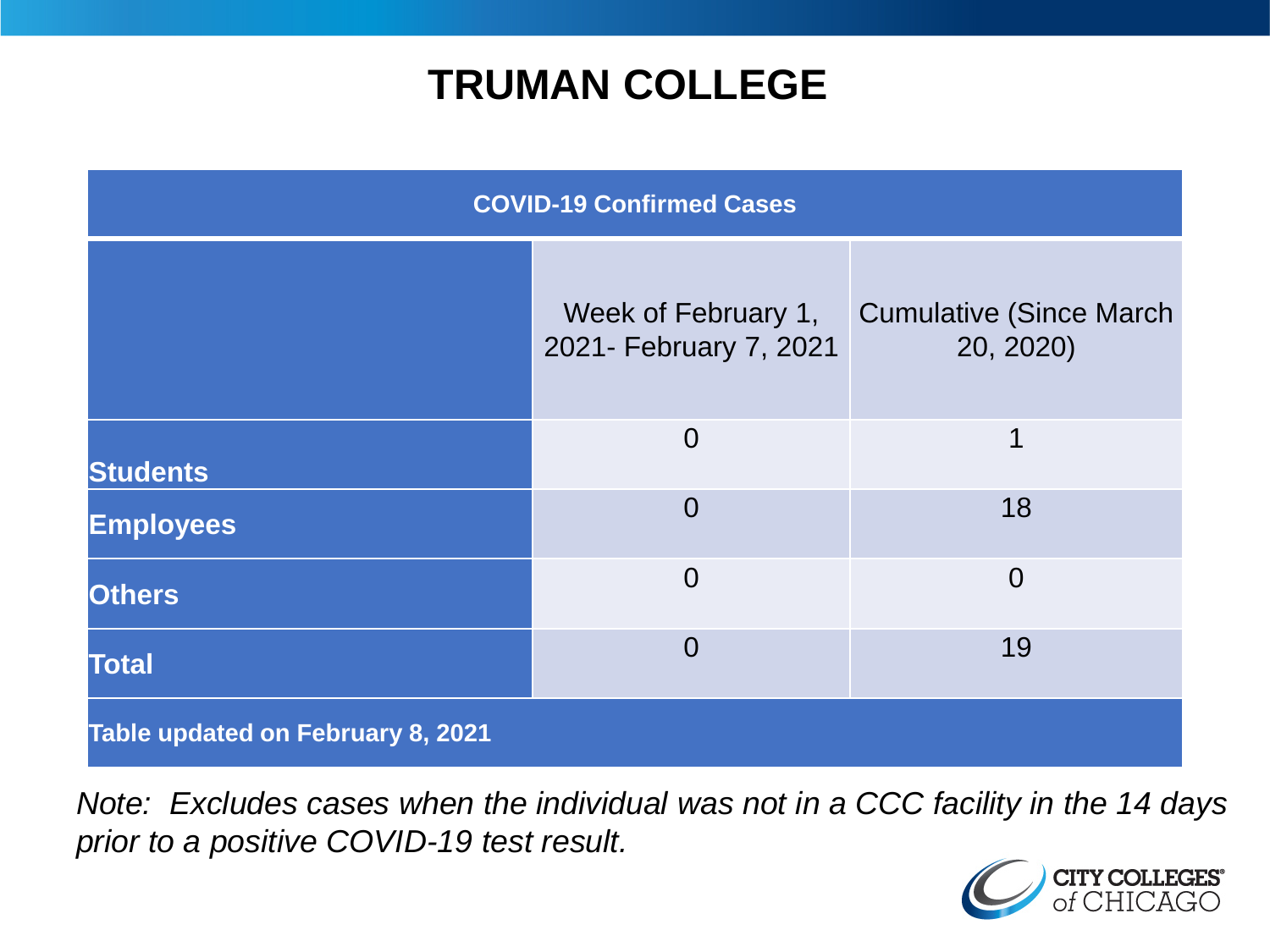## **TRUMAN COLLEGE**

| <b>COVID-19 Confirmed Cases</b>   |                                               |                                              |
|-----------------------------------|-----------------------------------------------|----------------------------------------------|
|                                   | Week of February 1,<br>2021- February 7, 2021 | <b>Cumulative (Since March)</b><br>20, 2020) |
| <b>Students</b>                   | $\overline{0}$                                | 1                                            |
| <b>Employees</b>                  | $\overline{0}$                                | 18                                           |
| <b>Others</b>                     | $\overline{0}$                                | $\overline{0}$                               |
| <b>Total</b>                      | $\overline{0}$                                | 19                                           |
| Table updated on February 8, 2021 |                                               |                                              |

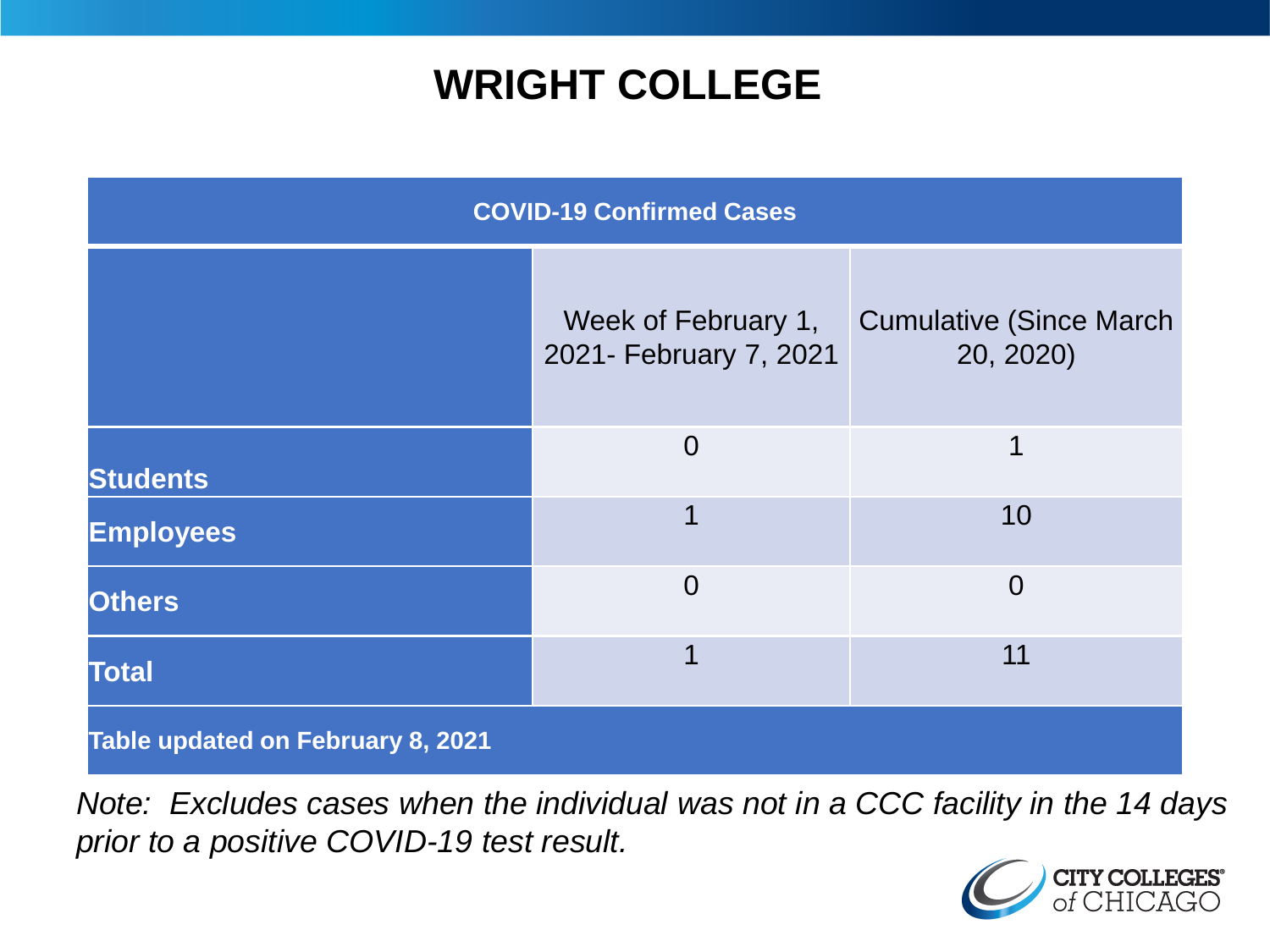## **WRIGHT COLLEGE**

| <b>COVID-19 Confirmed Cases</b>   |                                               |                                              |
|-----------------------------------|-----------------------------------------------|----------------------------------------------|
|                                   | Week of February 1,<br>2021- February 7, 2021 | <b>Cumulative (Since March)</b><br>20, 2020) |
| <b>Students</b>                   | $\overline{0}$                                | 1                                            |
| <b>Employees</b>                  | 1                                             | 10                                           |
| <b>Others</b>                     | $\overline{0}$                                | $\overline{0}$                               |
| <b>Total</b>                      | 1                                             | 11                                           |
| Table updated on February 8, 2021 |                                               |                                              |